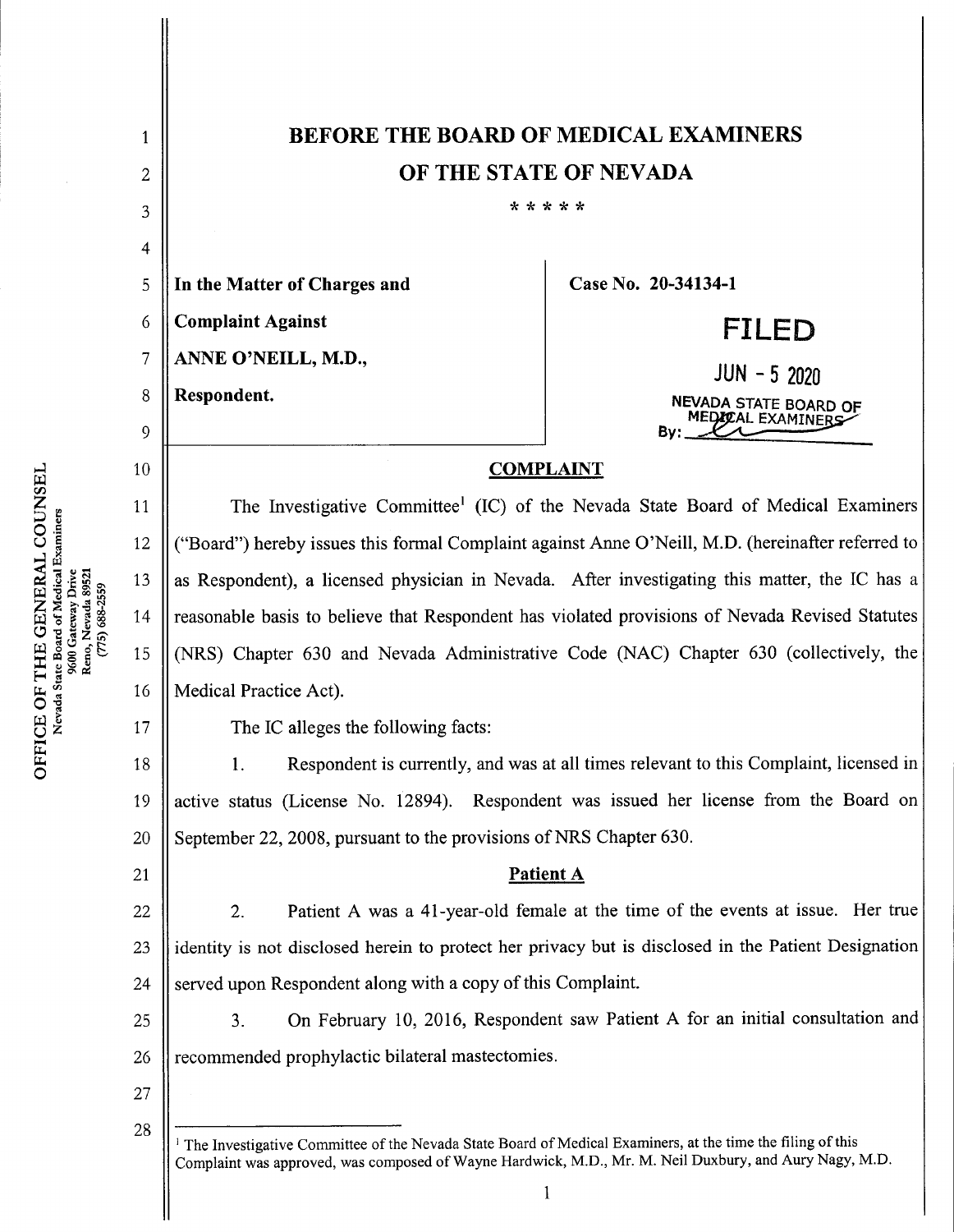|                | 1                       | <b>BEFORE THE BOARD OF MEDICAL EXAMINERS</b>                                                                                                                                                                                                      |                                                   |  |
|----------------|-------------------------|---------------------------------------------------------------------------------------------------------------------------------------------------------------------------------------------------------------------------------------------------|---------------------------------------------------|--|
|                | 2                       | OF THE STATE OF NEVADA                                                                                                                                                                                                                            |                                                   |  |
|                | 3                       | * * * * *                                                                                                                                                                                                                                         |                                                   |  |
|                | $\overline{\mathbf{4}}$ |                                                                                                                                                                                                                                                   |                                                   |  |
|                | 5                       | In the Matter of Charges and                                                                                                                                                                                                                      | Case No. 20-34134-1                               |  |
|                | 6                       | <b>Complaint Against</b>                                                                                                                                                                                                                          | FILED                                             |  |
|                | $\overline{7}$          | ANNE O'NEILL, M.D.,                                                                                                                                                                                                                               | $JUN - 52020$                                     |  |
|                | 8<br>9                  | Respondent.                                                                                                                                                                                                                                       | NEVADA STATE BOARD OF<br>MEDICAL EXAMINERS<br>Bv: |  |
|                | 10                      | <b>COMPLAINT</b>                                                                                                                                                                                                                                  |                                                   |  |
|                | 11                      | The Investigative Committee <sup>1</sup> (IC) of the Nevada State Board of Medical Examiners                                                                                                                                                      |                                                   |  |
|                | 12                      | ("Board") hereby issues this formal Complaint against Anne O'Neill, M.D. (hereinafter referred to                                                                                                                                                 |                                                   |  |
|                | 13                      | as Respondent), a licensed physician in Nevada. After investigating this matter, the IC has a                                                                                                                                                     |                                                   |  |
| (775) 688-2559 | 14                      | reasonable basis to believe that Respondent has violated provisions of Nevada Revised Statutes                                                                                                                                                    |                                                   |  |
|                | 15                      | (NRS) Chapter 630 and Nevada Administrative Code (NAC) Chapter 630 (collectively, the                                                                                                                                                             |                                                   |  |
|                | 16                      | Medical Practice Act).                                                                                                                                                                                                                            |                                                   |  |
|                | 17                      | The IC alleges the following facts:                                                                                                                                                                                                               |                                                   |  |
|                | 18                      | Respondent is currently, and was at all times relevant to this Complaint, licensed in<br>1.                                                                                                                                                       |                                                   |  |
|                | 19                      | active status (License No. 12894). Respondent was issued her license from the Board on                                                                                                                                                            |                                                   |  |
|                | 20                      | September 22, 2008, pursuant to the provisions of NRS Chapter 630.                                                                                                                                                                                |                                                   |  |
|                | 21                      | <b>Patient A</b>                                                                                                                                                                                                                                  |                                                   |  |
|                | 22                      | Patient A was a 41-year-old female at the time of the events at issue. Her true<br>2.                                                                                                                                                             |                                                   |  |
|                | 23                      | identity is not disclosed herein to protect her privacy but is disclosed in the Patient Designation                                                                                                                                               |                                                   |  |
|                | 24                      | served upon Respondent along with a copy of this Complaint.                                                                                                                                                                                       |                                                   |  |
|                | 25                      | On February 10, 2016, Respondent saw Patient A for an initial consultation and<br>3.                                                                                                                                                              |                                                   |  |
|                | 26                      | recommended prophylactic bilateral mastectomies.                                                                                                                                                                                                  |                                                   |  |
|                | 27                      |                                                                                                                                                                                                                                                   |                                                   |  |
|                | 28                      | <sup>1</sup> The Investigative Committee of the Nevada State Board of Medical Examiners, at the time the filing of this<br>Complaint was approved, was composed of Wayne Hardwick, M.D., Mr. M. Neil Duxbury, and Aury Nagy, M.D.<br>$\mathbf{1}$ |                                                   |  |
|                |                         |                                                                                                                                                                                                                                                   |                                                   |  |

استا<br>م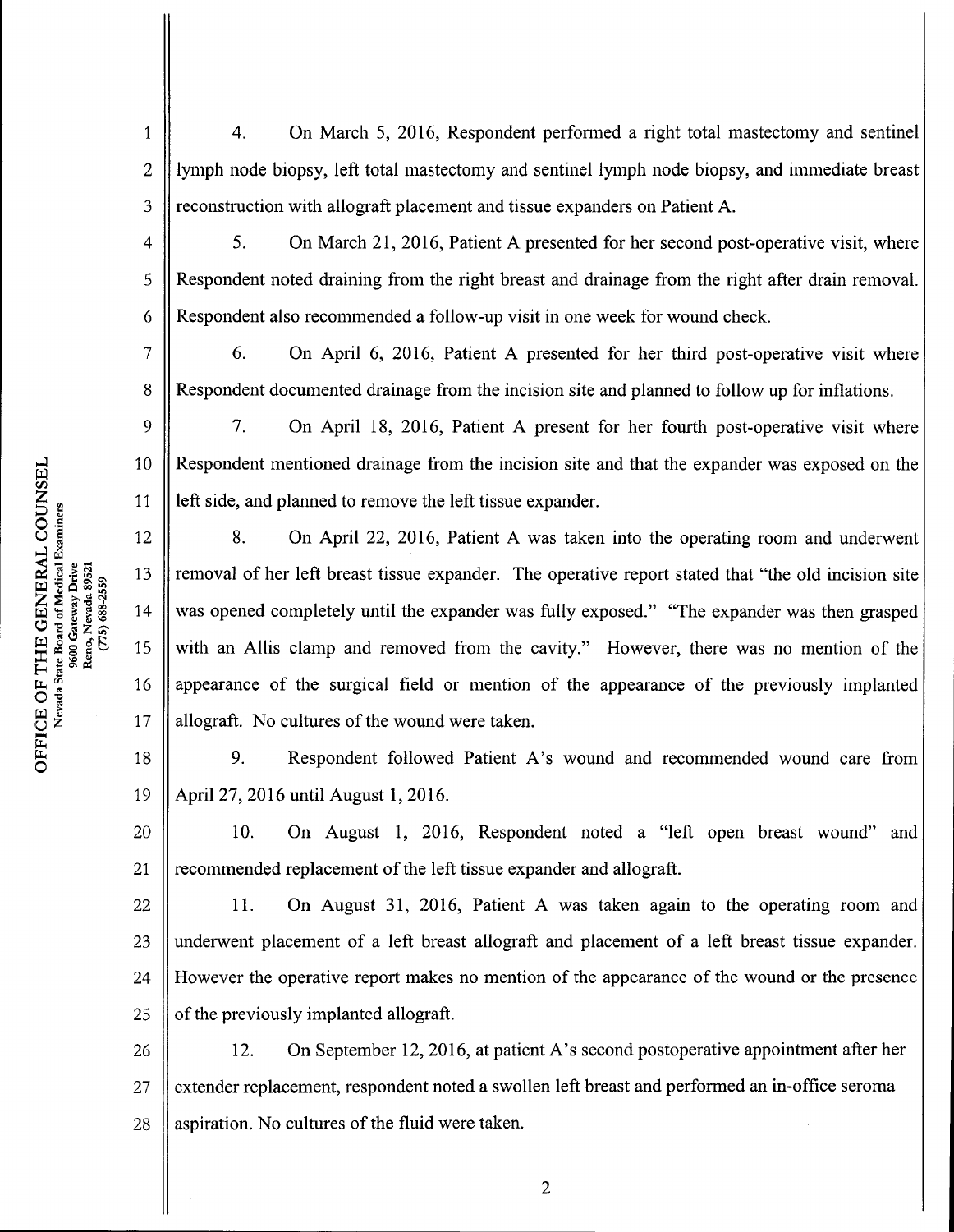4

5

6

7

8

9

10

11

12

13

14

15

16

17

4.On March 5, 2016, Respondent performed <sup>a</sup> right total mastectomy and sentinel lymph node biopsy, left total mastectomy and sentinel lymph node biopsy, and immediate breast reconstruction with allograft placement and tissue expanders on Patient A. 1 2 3

5. On March 21, 2016, Patient A presented for her second post-operative visit, where Respondent noted draining from the right breast and drainage from the right after drain removal. Respondent also recommended a follow-up visit in one week for wound check.

6. On April 6, 2016, Patient A presented for her third post-operative visit where Respondent documented drainage from the incision site and planned to follow up for inflations.

7. On April 18, 2016, Patient A present for her fourth post-operative visit where Respondent mentioned drainage from the incision site and that the expander was exposed on the left side, and planned to remove the left tissue expander.

8. On April 22, 2016, Patient A was taken into the operating room and underwent removal of her left breast tissue expander. The operative report stated that "the old incision site was opened completely until the expander was fully exposed." "The expander was then grasped with an Allis clamp and removed from the cavity." However, there was no mention of the appearance of the surgical field or mention of the appearance of the previously implanted allograft. No cultures of the wound were taken.

9. Respondent followed Patient A's wound and recommended wound care from April 27, 2016 until August 1, 2016. 18 19

10. On August 1, 2016, Respondent noted a "left open breast wound" and recommended replacement of the left tissue expander and allograft. 20 21

11.On August 31, 2016, Patient <sup>A</sup> was taken again to the operating room and underwent placement of a left breast allograft and placement of a left breast tissue expander. However the operative report makes no mention of the appearance of the wound or the presence of the previously implanted allograft. 22 23 24 25

12. On September 12, 2016, at patient A's second postoperative appointment after her extender replacement, respondent noted a swollen left breast and performed an in-office seroma aspiration. No cultures of the fluid were taken. 26 27 28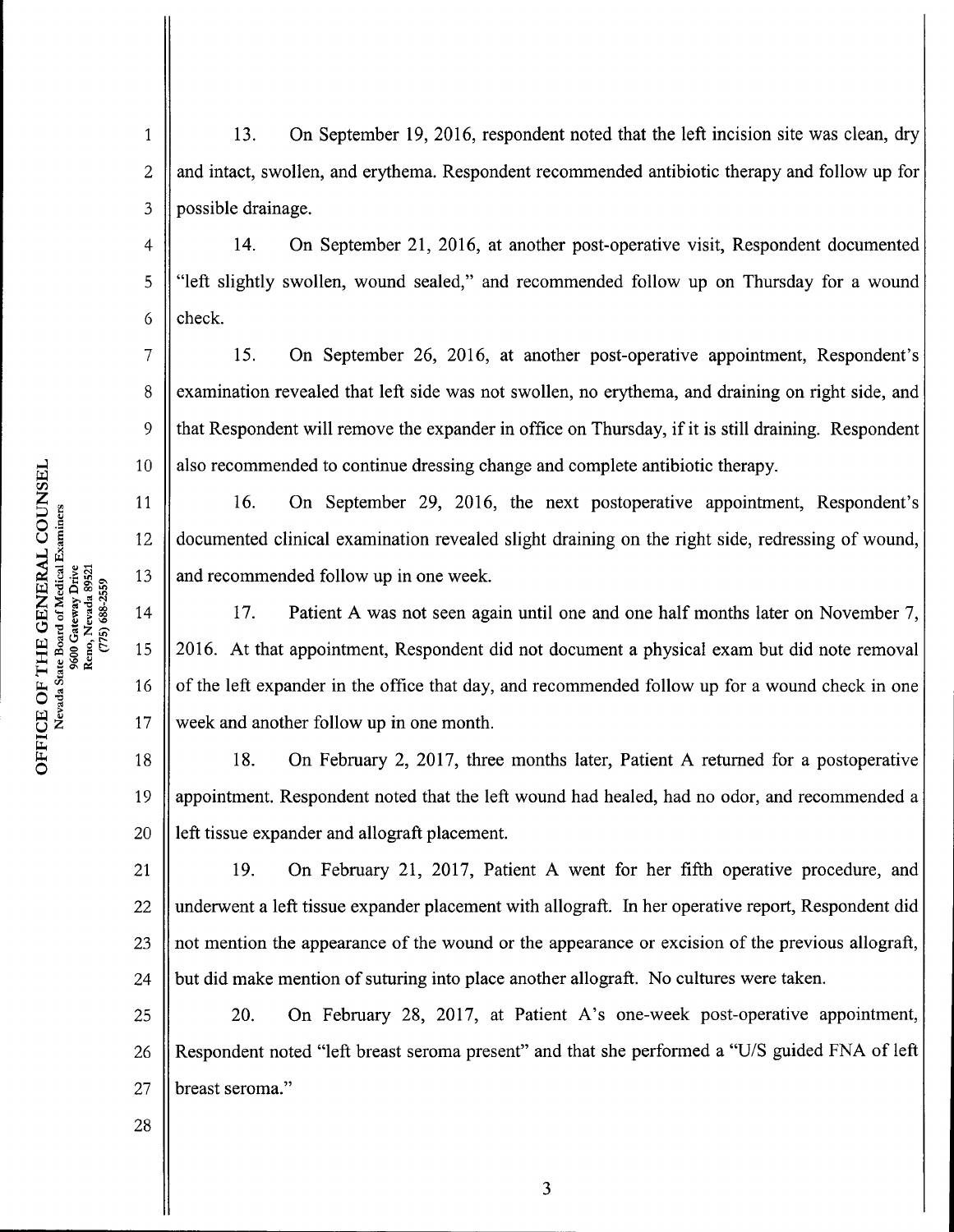13. On September 19, 2016, respondent noted that the left incision site was clean, dry and intact, swollen, and erythema. Respondent recommended antibiotic therapy and follow up for possible drainage. 1 2 3

14. On September 21, 2016, at another post-operative visit, Respondent documented "left slightly swollen, wound sealed," and recommended follow up on Thursday for a wound check.

15. On September 26, 2016, at another post-operative appointment, Respondent's examination revealed that left side was not swollen, no erythema, and draining on right side, and that Respondent will remove the expander in office on Thursday, if it is still draining. Respondent also recommended to continue dressing change and complete antibiotic therapy.

16. On September 29, 2016, the next postoperative appointment, Respondent's documented clinical examination revealed slight draining on the right side, redressing of wound, and recommended follow up in one week.

17. Patient A was not seen again until one and one half months later on November 7, 2016. At that appointment, Respondent did not document a physical exam but did note removal of the left expander in the office that day, and recommended follow up for a wound check in one week and another follow up in one month. 14

18. On February 2, 2017, three months later, Patient A returned for a postoperative appointment. Respondent noted that the left wound had healed, had no odor, and recommended a left tissue expander and allograft placement. 18 19 20

19. On February 21, 2017, Patient A went for her fifth operative procedure, and underwent a left tissue expander placement with allograft. In her operative report, Respondent did not mention the appearance of the wound or the appearance or excision of the previous allograft, but did make mention of suturing into place another allograft. No cultures were taken. 21 22 23 24

20. On February 28, 2017, at Patient A's one-week post-operative appointment, Respondent noted "left breast seroma present" and that she performed a "U/S guided FNA of left breast seroma." 25 26 27

**AL COI<br>Examine** H 9600 Gateway Drive<br>Reno, Nevada 89521  $(775) 688 - 2559$  $\rm \Xi$ Reno, X ™ ICE C<br>Nevad

4

5

6

7

8

9

10

11

12

13

15

16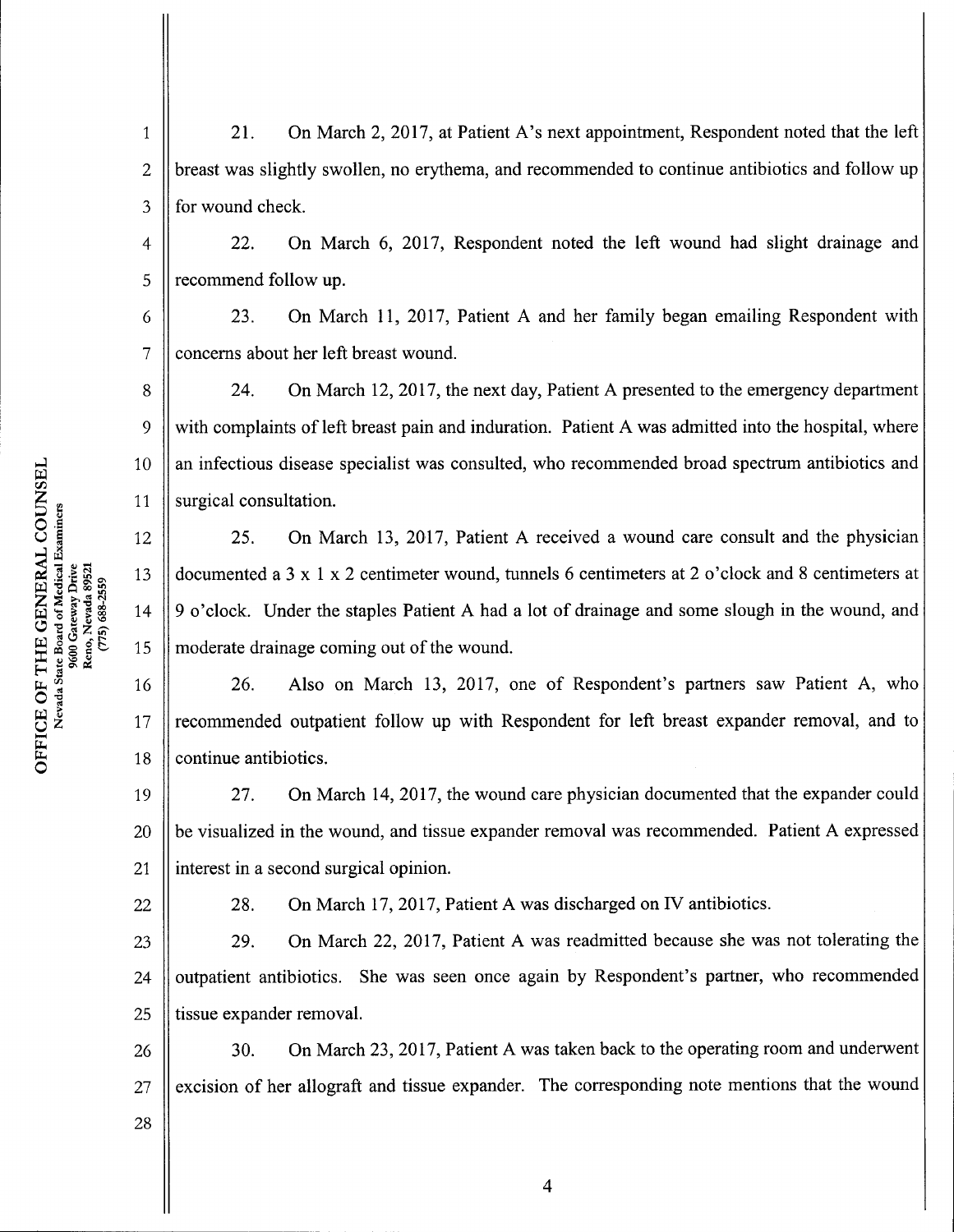22. On March 6, 2017, Respondent noted the left wound had slight drainage and recommend followup. 23. On March 11, 2017, Patient A and her family began emailing Respondent with concerns about her left breast wound. 24. On March 12, 2017, the next day, Patient A presented to the emergency department with complaints of left breast pain and induration. Patient A was admitted into the hospital, where an infectious disease specialist was consulted, who recommended broad spectrum antibiotics and surgical consultation. 25. On March 13, 2017, Patient A received a wound care consult and the physician documented a  $3 \times 1 \times 2$  centimeter wound, tunnels 6 centimeters at 2 o'clock and 8 centimeters at 9 o'clock. Under the staples Patient A had a lot of drainage and some slough in the wound, and moderate drainage coming out of the wound. 26. Also on March 13, 2017, one of Respondent's partners saw Patient A, who recommended outpatient follow up with Respondent for left breast expander removal, and to continue antibiotics. 27. On March 14, 2017, the wound care physician documented that the expander could be visualized in the wound, and tissue expander removal was recommended. Patient A expressed interest in a second surgical opinion. 28. On March 17, 2017, Patient A was discharged on IV antibiotics. 29. On March 22, 2017, Patient A was readmitted because she was not tolerating the outpatient antibiotics. She was seen once again by Respondent's partner, who recommended tissue expander removal. 30. On March 23, 2017, Patient A was taken back to the operating room and underwent excision of her allograft and tissue expander. The corresponding note mentions that the wound 4 5 6 7 8 9 10 11 12 13 14 15 16 17 18 19 20 21 22 23 24 25 26 27 28

21. On March 2, 2017, at Patient A's next appointment, Respondent noted that the left

breast was slightly swollen, no erythema, and recommended to continue antibiotics and follow up

COUN<br>xaminers 9600 Gateway Drive<br>Reno, Nevada 89521  $(775) 688 - 2559$ E OF T)<br>evada State

L<br>U<br>Zera<br>Z

w 3

 $\overline{\text{O}}$ 

for wound check.

1

2

3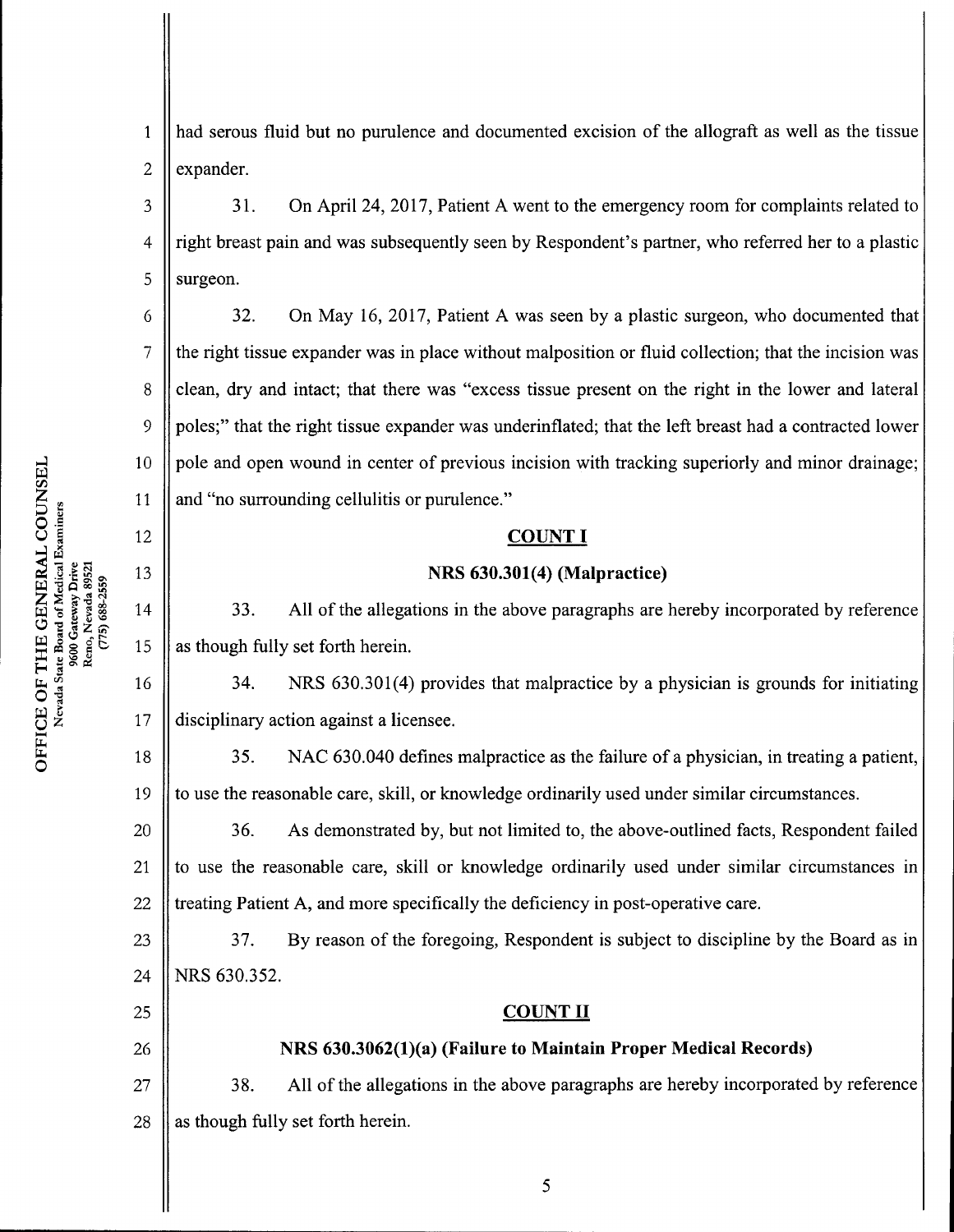had serous fluid but no purulence and documented excision of the allograft as well as the tissue expander. 1  $\overline{2}$ 

31. On April 24, 2017, Patient A went to the emergency room for complaints related to right breast pain and was subsequently seen by Respondent's partner, who referred her to a plastic surgeon.

32. On May 16, 2017, Patient A was seen by a plastic surgeon, who documented that the right tissue expander was in place without malposition or fluid collection; that the incision was clean, dry and intact; that there was "excess tissue present on the right in the lower and lateral poles;" that the right tissue expander was underinflated; that the left breast had a contracted lower pole and open wound in center of previous incision with tracking superiorly and minor drainage; and "no surrounding cellulitis or purulence."

## COUNT I

## NRS 630.301(4) (Malpractice)

33. All of the allegations in the above paragraphs are hereby incorporated by reference as though fully set forth herein.

34. NRS 630.301(4) provides that malpractice by a physician is grounds for initiating disciplinary action against a licensee.

35. NAC 630.040 defines malpractice as the failure of a physician, in treating a patient, to use the reasonable care, skill, or knowledge ordinarily used under similar circumstances. 18 19

36. As demonstrated by, but not limited to, the above-outlined facts, Respondent failed to use the reasonable care, skill or knowledge ordinarily used under similar circumstances in treating Patient A, and more specifically the deficiency in post-operative care. 20 21 22

37. By reason of the foregoing, Respondent is subject to discipline by the Board as in NRS 630.352. 23 24

25 26

3

4

5

6

7

8

9

10

11

12

13

14

 $(775)$  688-2559

15

16

17

## COUNT II

## NRS 630.3062(1)(a) (Failure to Maintain Proper Medical Records)

38. All of the allegations in the above paragraphs are hereby incorporated by reference as though fully set forth herein. 27 28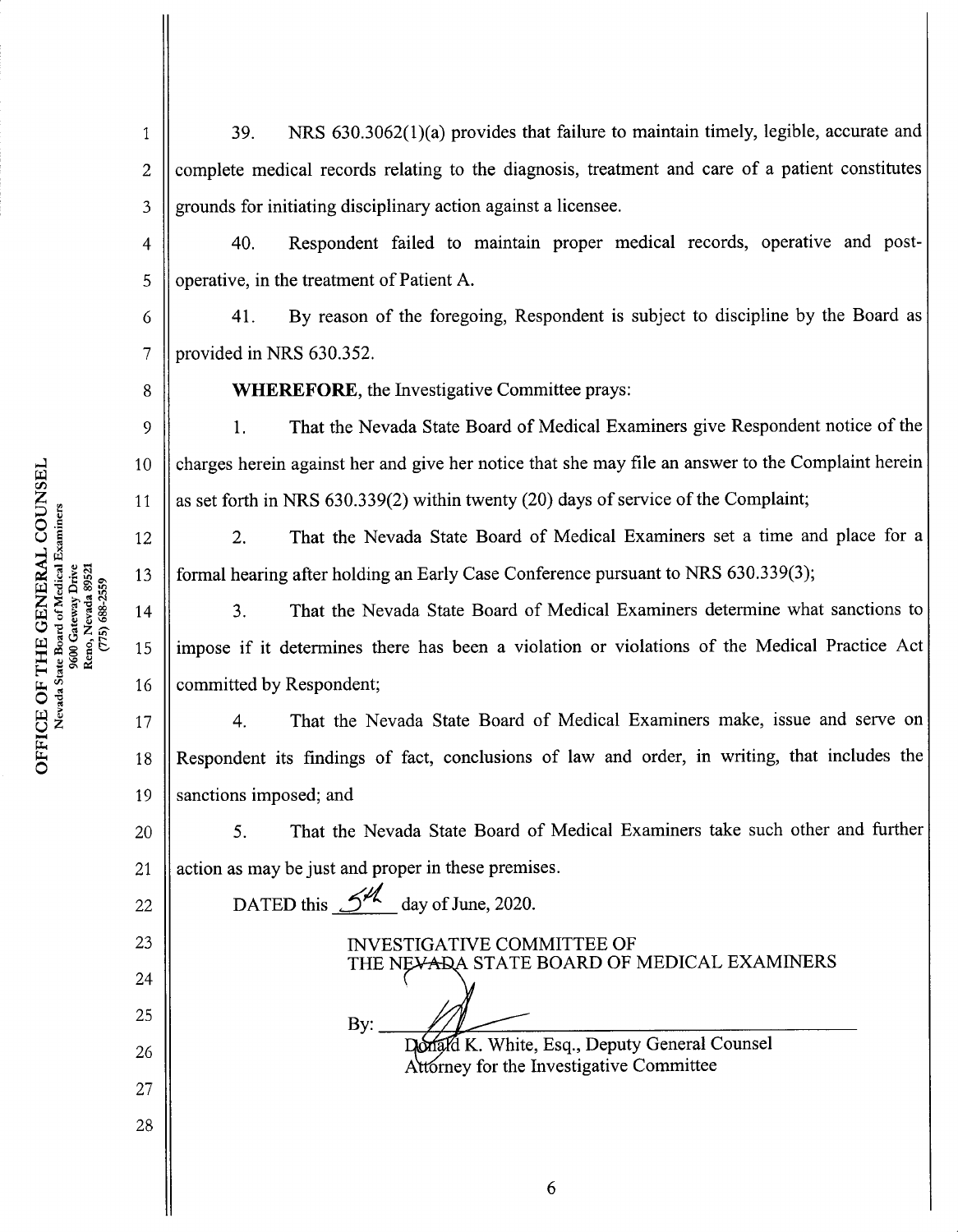39. NRS  $630.3062(1)(a)$  provides that failure to maintain timely, legible, accurate and complete medical records relating to the diagnosis, treatment and care of a patient constitutes grounds for initiating disciplinary action against a licensee. 1 2 3

40. Respondent failed to maintain proper medical records, operative and postoperative, in the treatment of Patient A.

41.By reason ofthe foregoing, Respondent is subject to discipline by the Board as provided in NRS 630.352.

WHEREFORE, the Investigative Committee prays:

1. That the Nevada State Board of Medical Examiners give Respondent notice of the charges herein against her and give her notice that she may file an answer to the Complaint herein as set forth in NRS  $630.339(2)$  within twenty (20) days of service of the Complaint;

2. That the Nevada State Board of Medical Examiners set a time and place for a formal hearing after holding an Early Case Conference pursuant to NRS 630.339(3);

3. That the Nevada State Board of Medical Examiners determine what sanctions to impose if it determines there has been a violation or violations of the Medical Practice Act committed by Respondent;

4.That the Nevada State Board of Medical Examiners make, issue and serve on Respondent its findings of fact, conclusions of law and order, in writing, that includes the sanctions imposed; and 17 18 19

5. That the Nevada State Board of Medical Examiners take such other and further action as may be just and properin these premises. 20 21

DATED this  $\frac{\cancel{\mathcal{A}}}{\mathcal{A}}$  day of June, 2020.

 $\mathbf{By:}$ 

INVESTIGATIVE COMMITTEE OF THE NEVADA STATE BOARD OF MEDICAL EXAMINERS

Donald K. White, Esq., Deputy General Counsel Attorney for the Investigative Committee

)UNSI<br>¤ers 9600 Gateway Drive Reno, Nevada 8952  $(775) 688 - 2559$ ) ፲<br>)<br>. M Sz

b b O

4

5

6

7

8

9

10

11

12

13

14

15

16

22

23

24

25

26

27